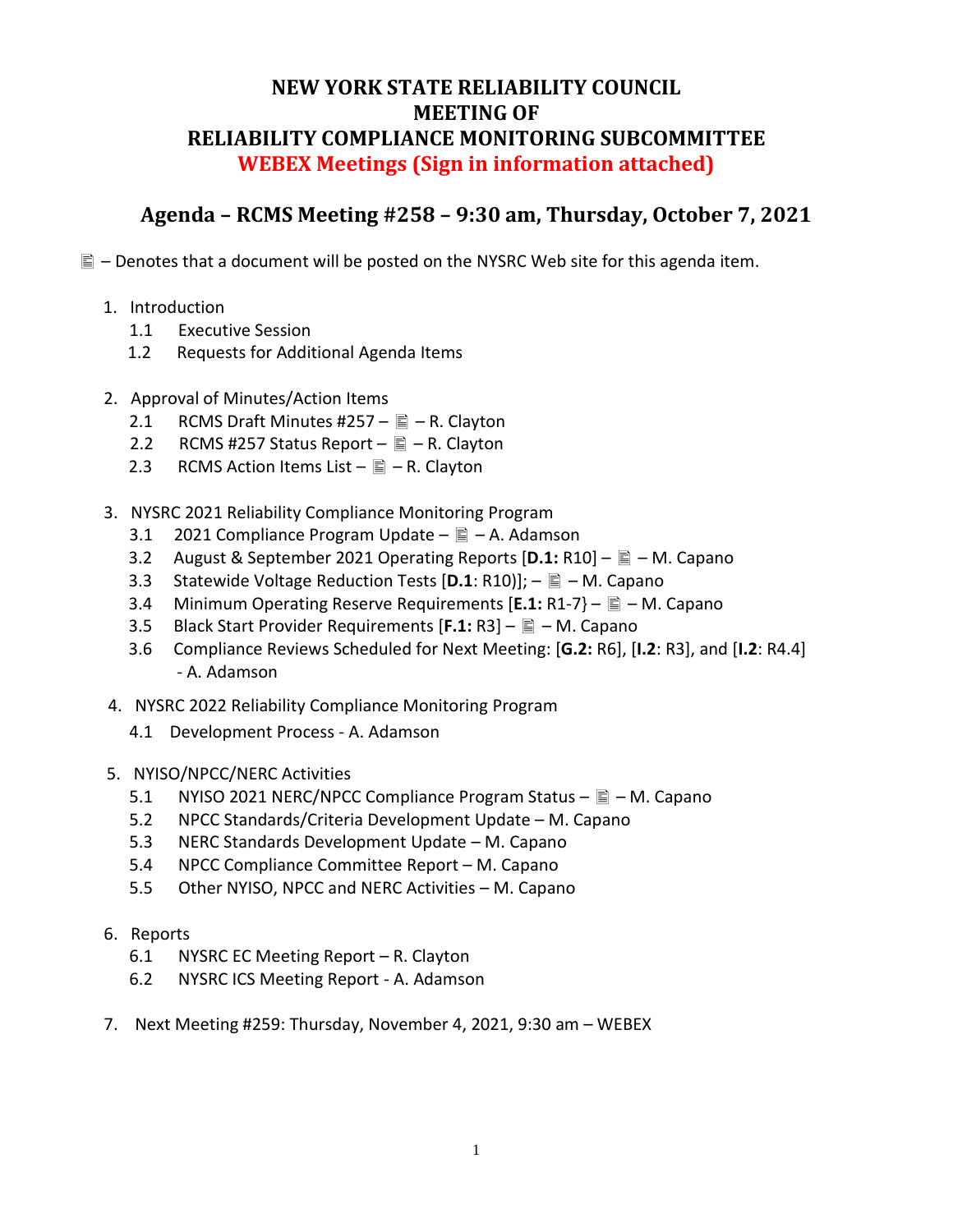## **NEW YORK STATE RELIABILITY COUNCIL MEETING OF RELIABILITY COMPLIANCE MONITORING SUBCOMMITTEE WEBEX Meetings (Sign in information attached)**

## **Agenda – RCMS Meeting #258 – 9:30 am, Thursday, October 7, 2021**

 $\mathbb{E}$  – Denotes that a document will be posted on the NYSRC Web site for this agenda item.

- 1. Introduction
	- 1.1 Executive Session
	- 1.2 Requests for Additional Agenda Items
- 2. Approval of Minutes/Action Items
	- 2.1 RCMS Draft Minutes #257  $\triangleq$  R. Clayton
	- 2.2 RCMS #257 Status Report  $\equiv -R$ . Clayton
	- 2.3 RCMS Action Items List  $\triangleq$  R. Clayton
- 3. NYSRC 2021 Reliability Compliance Monitoring Program
	- 3.1 2021 Compliance Program Update  $-\equiv -A$ . Adamson
	- 3.2 August & September 2021 Operating Reports [**D.1:** R10] M. Capano
	- 3.3 Statewide Voltage Reduction Tests [D.1: R10]];  $\triangleq$  M. Capano
	- 3.4 Minimum Operating Reserve Requirements [E.1: R1-7}  $\Box$  M. Capano
	- 3.5 Black Start Provider Requirements [**F.1:** R3] M. Capano
	- 3.6 Compliance Reviews Scheduled for Next Meeting: [**G.2:** R6], [**I.2**: R3], and [**I.2**: R4.4] - A. Adamson
- 4. NYSRC 2022 Reliability Compliance Monitoring Program
	- 4.1 Development Process A. Adamson
- 5. NYISO/NPCC/NERC Activities
	- 5.1 NYISO 2021 NERC/NPCC Compliance Program Status  $\mathbb{\bar{E}}$  M. Capano
	- 5.2 NPCC Standards/Criteria Development Update M. Capano
	- 5.3 NERC Standards Development Update M. Capano
	- 5.4 NPCC Compliance Committee Report M. Capano
	- 5.5 Other NYISO, NPCC and NERC Activities M. Capano
- 6. Reports
	- 6.1 NYSRC EC Meeting Report R. Clayton
	- 6.2 NYSRC ICS Meeting Report A. Adamson
- 7. Next Meeting #259: Thursday, November 4, 2021, 9:30 am WEBEX